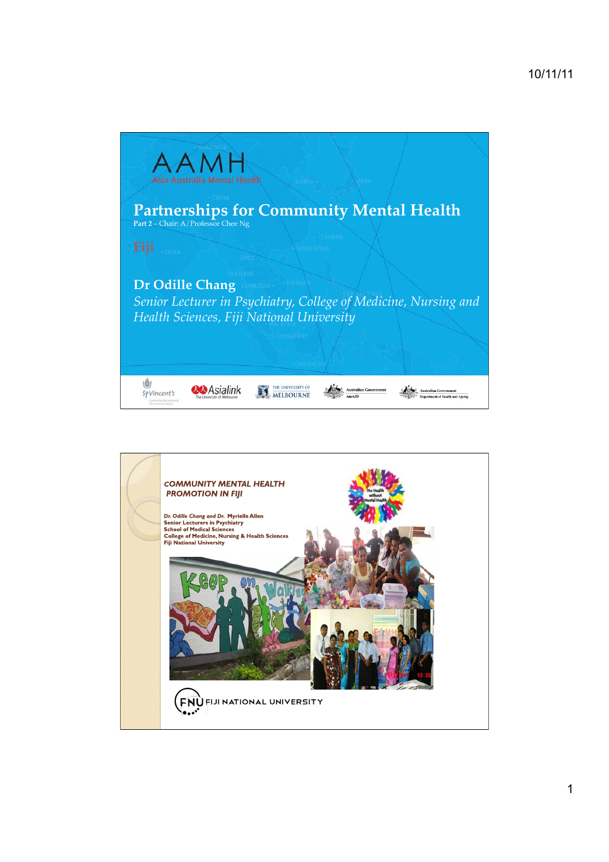

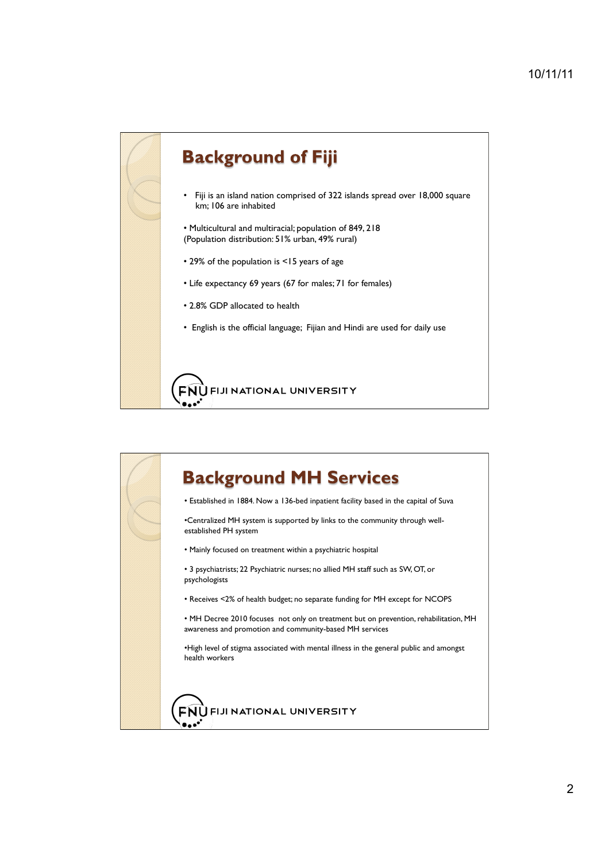## **Background of Fiji**

- Fiji is an island nation comprised of 322 islands spread over 18,000 square km; 106 are inhabited
- Multicultural and multiracial; population of 849, 218 (Population distribution: 51% urban, 49% rural)
- 29% of the population is <15 years of age
- Life expectancy 69 years (67 for males; 71 for females)
- 2.8% GDP allocated to health
- English is the official language; Fijian and Hindi are used for daily use

FIJI NATIONAL UNIVERSITY **FNU** 

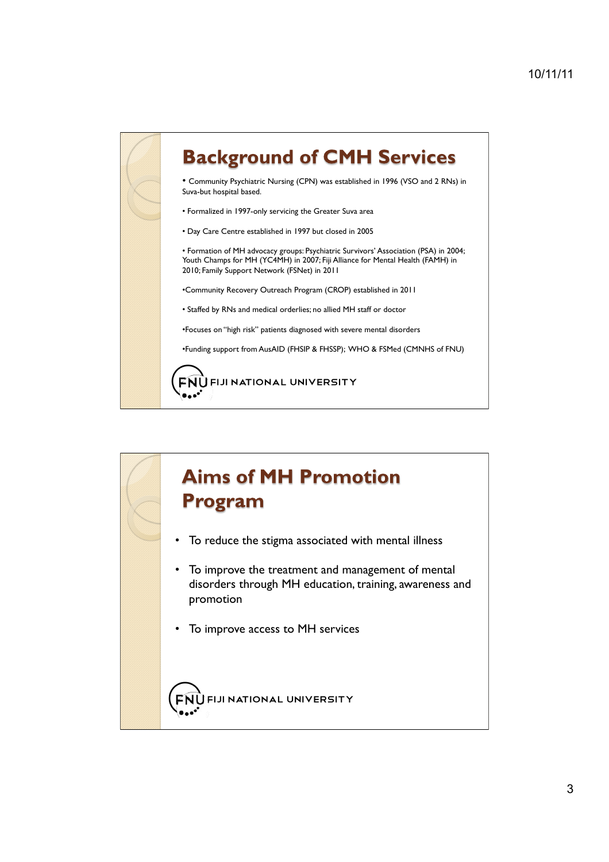# **Background of CMH Services**

• Community Psychiatric Nursing (CPN) was established in 1996 (VSO and 2 RNs) in Suva-but hospital based.

• Formalized in 1997-only servicing the Greater Suva area

• Day Care Centre established in 1997 but closed in 2005

• Formation of MH advocacy groups: Psychiatric Survivors' Association (PSA) in 2004; Youth Champs for MH (YC4MH) in 2007; Fiji Alliance for Mental Health (FAMH) in 2010; Family Support Network (FSNet) in 2011

•Community Recovery Outreach Program (CROP) established in 2011

• Staffed by RNs and medical orderlies; no allied MH staff or doctor

•Focuses on "high risk" patients diagnosed with severe mental disorders

•Funding support from AusAID (FHSIP & FHSSP); WHO & FSMed (CMNHS of FNU)

**FNUFIJI NATIONAL UNIVERSITY** 



- To reduce the stigma associated with mental illness
- To improve the treatment and management of mental disorders through MH education, training, awareness and promotion
- To improve access to MH services

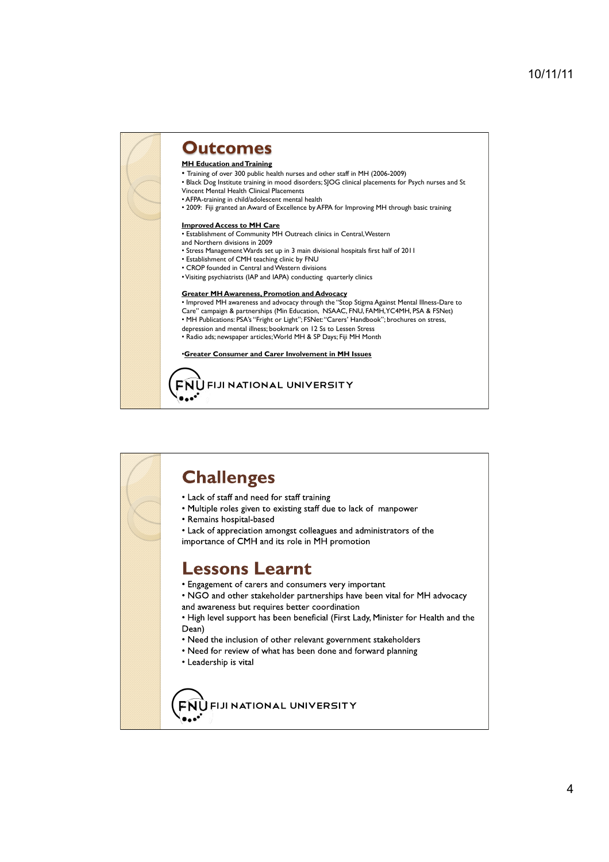### **Outcomes**

#### **MH Education and Training**

• Training of over 300 public health nurses and other staff in MH (2006-2009)

- Black Dog Institute training in mood disorders; SJOG clinical placements for Psych nurses and St
- Vincent Mental Health Clinical Placements • AFPA-training in child/adolescent mental health
- 2009: Fiji granted an Award of Excellence by AFPA for Improving MH through basic training

#### **Improved Access to MH Care**

- Establishment of Community MH Outreach clinics in Central, Western
- and Northern divisions in 2009
- Stress Management Wards set up in 3 main divisional hospitals first half of 2011
- Establishment of CMH teaching clinic by FNU
- CROP founded in Central and Western divisions
- Visiting psychiatrists (IAP and IAPA) conducting quarterly clinics

#### **Greater MH Awareness, Promotion and Advocacy**

• Improved MH awareness and advocacy through the "Stop Stigma Against Mental Illness-Dare to Care" campaign & partnerships (Min Education, NSAAC, FNU, FAMH, YC4MH, PSA & FSNet) • MH Publications: PSA's "Fright or Light"; FSNet: "Carers' Handbook"; brochures on stress, depression and mental illness; bookmark on 12 Ss to Lessen Stress • Radio ads; newspaper articles; World MH & SP Days; Fiji MH Month

#### •**Greater Consumer and Carer Involvement in MH Issues**

### **FNUFIJI NATIONAL UNIVERSITY**

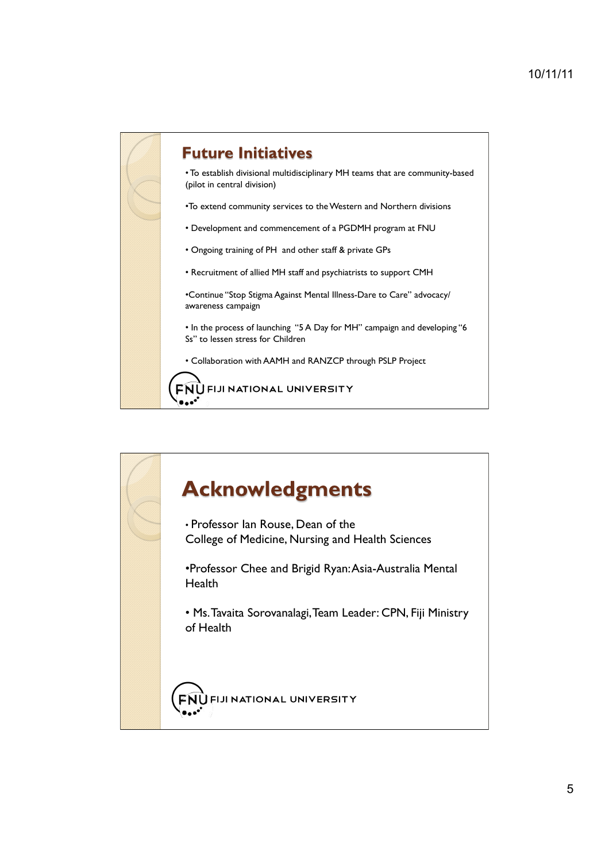